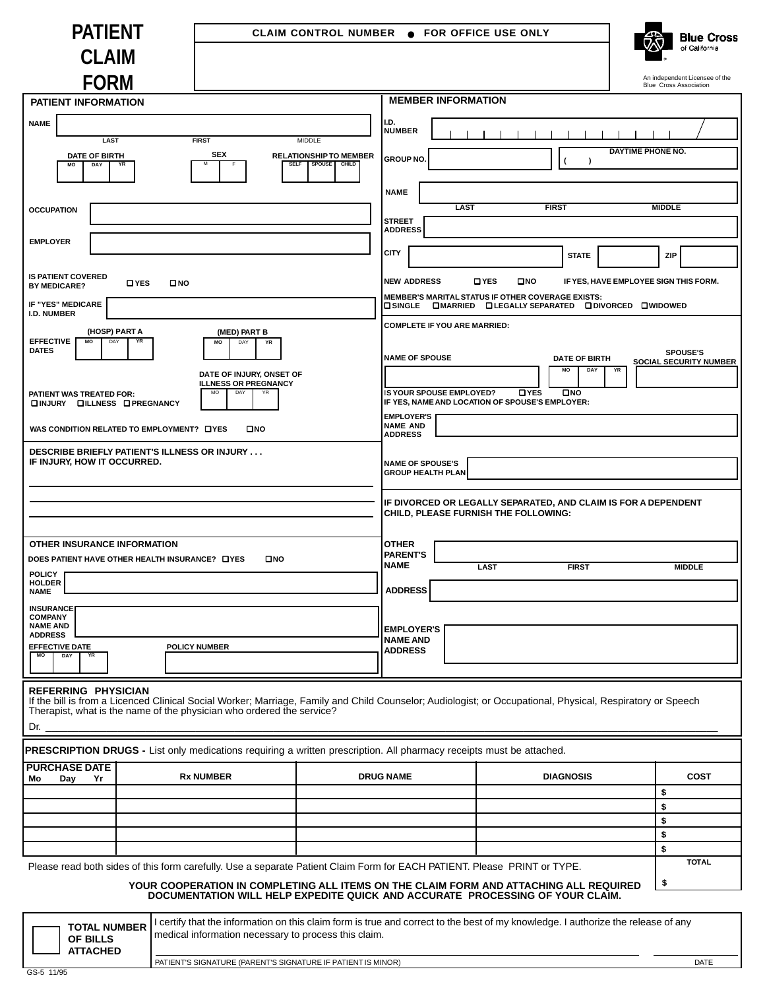| <b>PATIENT</b>                                                                          | CLAIM CONTROL NUMBER . FOR OFFICE USE ONLY                                                                                                                                                                                          | <b>Blue Cross</b>                       |                                                                                                            |                                                                                                                         |                  |                                                                 |  |  |  |
|-----------------------------------------------------------------------------------------|-------------------------------------------------------------------------------------------------------------------------------------------------------------------------------------------------------------------------------------|-----------------------------------------|------------------------------------------------------------------------------------------------------------|-------------------------------------------------------------------------------------------------------------------------|------------------|-----------------------------------------------------------------|--|--|--|
| <b>CLAIM</b>                                                                            |                                                                                                                                                                                                                                     |                                         |                                                                                                            |                                                                                                                         |                  | of California                                                   |  |  |  |
| <b>FORM</b>                                                                             |                                                                                                                                                                                                                                     |                                         |                                                                                                            |                                                                                                                         |                  | An independent Licensee of the<br><b>Blue Cross Association</b> |  |  |  |
| <b>PATIENT INFORMATION</b>                                                              |                                                                                                                                                                                                                                     |                                         |                                                                                                            | <b>MEMBER INFORMATION</b>                                                                                               |                  |                                                                 |  |  |  |
| <b>NAME</b>                                                                             |                                                                                                                                                                                                                                     |                                         | I.D.<br><b>NUMBER</b>                                                                                      |                                                                                                                         |                  |                                                                 |  |  |  |
| <b>LAST</b><br><b>DATE OF BIRTH</b>                                                     | <b>FIRST</b><br><b>SEX</b>                                                                                                                                                                                                          | MIDDLE<br><b>RELATIONSHIP TO MEMBER</b> |                                                                                                            |                                                                                                                         |                  | DAYTIME PHONE NO.                                               |  |  |  |
| <b>MO</b><br>DAY                                                                        | YR                                                                                                                                                                                                                                  | CHILD<br><b>SELF</b><br><b>SPOUSE</b>   | <b>GROUP NO</b>                                                                                            |                                                                                                                         |                  |                                                                 |  |  |  |
|                                                                                         |                                                                                                                                                                                                                                     |                                         | <b>NAME</b>                                                                                                |                                                                                                                         |                  |                                                                 |  |  |  |
| <b>OCCUPATION</b>                                                                       |                                                                                                                                                                                                                                     |                                         | <b>STREET</b>                                                                                              | <b>LAST</b>                                                                                                             | <b>FIRST</b>     | <b>MIDDLE</b>                                                   |  |  |  |
| <b>EMPLOYER</b>                                                                         |                                                                                                                                                                                                                                     |                                         | <b>ADDRESS</b>                                                                                             |                                                                                                                         |                  |                                                                 |  |  |  |
|                                                                                         |                                                                                                                                                                                                                                     |                                         | <b>CITY</b>                                                                                                |                                                                                                                         | <b>STATE</b>     | <b>ZIP</b>                                                      |  |  |  |
| <b>IS PATIENT COVERED</b><br><b>BY MEDICARE?</b>                                        | <b>Q</b> YES<br><b>ONO</b>                                                                                                                                                                                                          |                                         | <b>NEW ADDRESS</b>                                                                                         | O YES                                                                                                                   | $\square$ NO     | IF YES, HAVE EMPLOYEE SIGN THIS FORM.                           |  |  |  |
| IF "YES" MEDICARE<br><b>I.D. NUMBER</b>                                                 |                                                                                                                                                                                                                                     |                                         |                                                                                                            | MEMBER'S MARITAL STATUS IF OTHER COVERAGE EXISTS:<br><b>Q SINGLE COMARRIED Q LEGALLY SEPARATED Q DIVORCED Q WIDOWED</b> |                  |                                                                 |  |  |  |
| (HOSP) PART A<br>(MED) PART B<br><b>EFFECTIVE</b><br>MO<br>DAY<br>YR<br>MO<br>YR<br>DAY |                                                                                                                                                                                                                                     |                                         | <b>COMPLETE IF YOU ARE MARRIED:</b>                                                                        |                                                                                                                         |                  |                                                                 |  |  |  |
|                                                                                         | <b>DATES</b>                                                                                                                                                                                                                        |                                         |                                                                                                            | <b>SPOUSE'S</b><br><b>NAME OF SPOUSE</b><br><b>DATE OF BIRTH</b><br>SOCIAL SECURITY NUMBER<br>MO<br>DAY<br>YR           |                  |                                                                 |  |  |  |
|                                                                                         | DATE OF INJURY, ONSET OF<br><b>ILLNESS OR PREGNANCY</b>                                                                                                                                                                             |                                         |                                                                                                            |                                                                                                                         |                  |                                                                 |  |  |  |
| DAY<br>PATIENT WAS TREATED FOR:<br>DINJURY DILLNESS OPREGNANCY                          |                                                                                                                                                                                                                                     |                                         | IS YOUR SPOUSE EMPLOYED?<br><b>DYES</b><br>$\square$ NO<br>IF YES, NAME AND LOCATION OF SPOUSE'S EMPLOYER: |                                                                                                                         |                  |                                                                 |  |  |  |
|                                                                                         | $\square$ NO<br>WAS CONDITION RELATED TO EMPLOYMENT? O YES                                                                                                                                                                          |                                         | <b>EMPLOYER'S</b><br><b>NAME AND</b><br><b>ADDRESS</b>                                                     |                                                                                                                         |                  |                                                                 |  |  |  |
|                                                                                         | DESCRIBE BRIEFLY PATIENT'S ILLNESS OR INJURY                                                                                                                                                                                        |                                         |                                                                                                            |                                                                                                                         |                  |                                                                 |  |  |  |
| IF INJURY, HOW IT OCCURRED.                                                             |                                                                                                                                                                                                                                     |                                         | <b>NAME OF SPOUSE'S</b><br><b>GROUP HEALTH PLAN</b>                                                        |                                                                                                                         |                  |                                                                 |  |  |  |
|                                                                                         |                                                                                                                                                                                                                                     |                                         |                                                                                                            |                                                                                                                         |                  |                                                                 |  |  |  |
|                                                                                         |                                                                                                                                                                                                                                     |                                         |                                                                                                            | IF DIVORCED OR LEGALLY SEPARATED, AND CLAIM IS FOR A DEPENDENT<br>CHILD, PLEASE FURNISH THE FOLLOWING:                  |                  |                                                                 |  |  |  |
| OTHER INSURANCE INFORMATION                                                             |                                                                                                                                                                                                                                     |                                         | <b>OTHER</b>                                                                                               |                                                                                                                         |                  |                                                                 |  |  |  |
|                                                                                         | DOES PATIENT HAVE OTHER HEALTH INSURANCE? O YES<br>$\square$ NO                                                                                                                                                                     |                                         | <b>PARENT'S</b><br><b>NAME</b>                                                                             |                                                                                                                         |                  |                                                                 |  |  |  |
| POLICY <b>I</b><br><b>HOLDER</b>                                                        |                                                                                                                                                                                                                                     |                                         |                                                                                                            | <b>LAST</b>                                                                                                             | <b>FIRST</b>     | <b>MIDDLE</b>                                                   |  |  |  |
| <b>NAME</b>                                                                             |                                                                                                                                                                                                                                     |                                         | <b>ADDRESS</b>                                                                                             |                                                                                                                         |                  |                                                                 |  |  |  |
| <b>INSURANCE</b><br><b>COMPANY</b><br><b>NAME AND</b>                                   |                                                                                                                                                                                                                                     |                                         |                                                                                                            |                                                                                                                         |                  |                                                                 |  |  |  |
| <b>ADDRESS</b><br><b>EFFECTIVE DATE</b>                                                 | <b>POLICY NUMBER</b>                                                                                                                                                                                                                |                                         | <b>EMPLOYER'S</b><br><b>NAME AND</b>                                                                       |                                                                                                                         |                  |                                                                 |  |  |  |
| MO<br>DAY<br>YR                                                                         |                                                                                                                                                                                                                                     |                                         | <b>ADDRESS</b>                                                                                             |                                                                                                                         |                  |                                                                 |  |  |  |
| REFERRING PHYSICIAN<br>Dr.                                                              | If the bill is from a Licenced Clinical Social Worker; Marriage, Family and Child Counselor; Audiologist; or Occupational, Physical, Respiratory or Speech<br>Therapist, what is the name of the physician who ordered the service? |                                         |                                                                                                            |                                                                                                                         |                  |                                                                 |  |  |  |
|                                                                                         | PRESCRIPTION DRUGS - List only medications requiring a written prescription. All pharmacy receipts must be attached.                                                                                                                |                                         |                                                                                                            |                                                                                                                         |                  |                                                                 |  |  |  |
| <b>PURCHASE DATE</b><br>Mo<br>Day<br>Yr                                                 | <b>Rx NUMBER</b>                                                                                                                                                                                                                    |                                         | <b>DRUG NAME</b>                                                                                           |                                                                                                                         | <b>DIAGNOSIS</b> | <b>COST</b>                                                     |  |  |  |
|                                                                                         |                                                                                                                                                                                                                                     |                                         |                                                                                                            |                                                                                                                         |                  | \$                                                              |  |  |  |
|                                                                                         |                                                                                                                                                                                                                                     |                                         |                                                                                                            |                                                                                                                         |                  | \$<br>\$                                                        |  |  |  |
|                                                                                         |                                                                                                                                                                                                                                     |                                         |                                                                                                            |                                                                                                                         |                  | \$                                                              |  |  |  |
|                                                                                         |                                                                                                                                                                                                                                     |                                         |                                                                                                            |                                                                                                                         |                  | \$                                                              |  |  |  |

Please read both sides of this form carefully. Use a separate Patient Claim Form for EACH PATIENT. Please PRINT or TYPE.

**YOUR COOPERATION IN COMPLETING ALL ITEMS ON THE CLAIM FORM AND ATTACHING ALL REQUIRED DOCUMENTATION WILL HELP EXPEDITE QUICK AND ACCURATE PROCESSING OF YOUR CLAIM.**

**\$**

| <b>OF BILLS</b><br><b>ATTACHED</b> | TOTAL NUMBER   I certify that the information on this claim form is true and correct to the best of my knowledge. I authorize the release of any<br>I medical information necessary to process this claim. |      |
|------------------------------------|------------------------------------------------------------------------------------------------------------------------------------------------------------------------------------------------------------|------|
|                                    | <b>I PATIENT'S SIGNATURE (PARENT'S SIGNATURE IF PATIENT IS MINOR)</b>                                                                                                                                      | DATE |